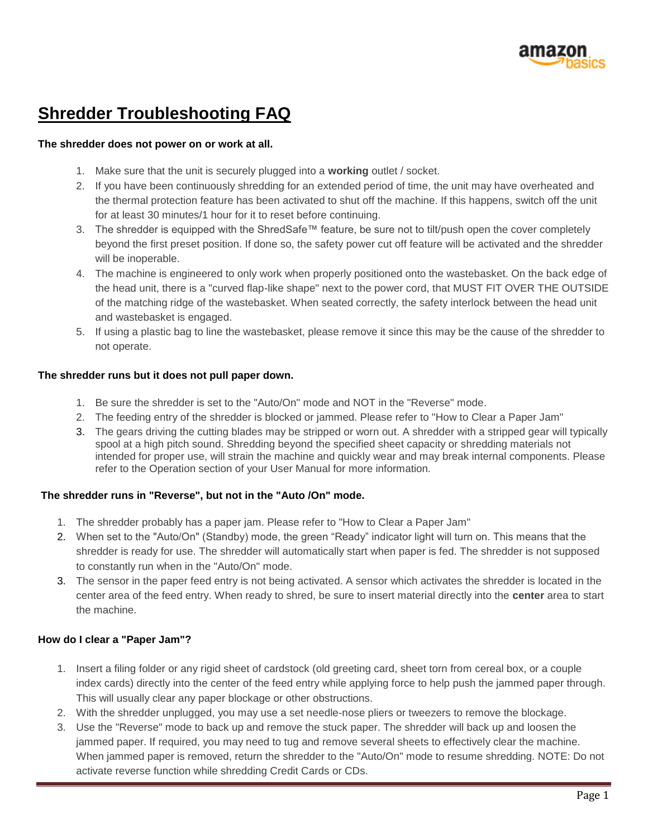

# **Shredder Troubleshooting FAQ**

### **The shredder does not power on or work at all.**

- 1. Make sure that the unit is securely plugged into a **working** outlet / socket.
- 2. If you have been continuously shredding for an extended period of time, the unit may have overheated and the thermal protection feature has been activated to shut off the machine. If this happens, switch off the unit for at least 30 minutes/1 hour for it to reset before continuing.
- 3. The shredder is equipped with the ShredSafe™ feature, be sure not to tilt/push open the cover completely beyond the first preset position. If done so, the safety power cut off feature will be activated and the shredder will be inoperable.
- 4. The machine is engineered to only work when properly positioned onto the wastebasket. On the back edge of the head unit, there is a "curved flap-like shape" next to the power cord, that MUST FIT OVER THE OUTSIDE of the matching ridge of the wastebasket. When seated correctly, the safety interlock between the head unit and wastebasket is engaged.
- 5. If using a plastic bag to line the wastebasket, please remove it since this may be the cause of the shredder to not operate.

### **The shredder runs but it does not pull paper down.**

- 1. Be sure the shredder is set to the "Auto/On" mode and NOT in the "Reverse" mode.
- 2. The feeding entry of the shredder is blocked or jammed. Please refer to "How to Clear a Paper Jam"
- 3. The gears driving the cutting blades may be stripped or worn out. A shredder with a stripped gear will typically spool at a high pitch sound. Shredding beyond the specified sheet capacity or shredding materials not intended for proper use, will strain the machine and quickly wear and may break internal components. Please refer to the Operation section of your User Manual for more information.

# **The shredder runs in "Reverse", but not in the "Auto /On" mode.**

- 1. The shredder probably has a paper jam. Please refer to "How to Clear a Paper Jam"
- 2. When set to the "Auto/On" (Standby) mode, the green "Ready" indicator light will turn on. This means that the shredder is ready for use. The shredder will automatically start when paper is fed. The shredder is not supposed to constantly run when in the "Auto/On" mode.
- 3. The sensor in the paper feed entry is not being activated. A sensor which activates the shredder is located in the center area of the feed entry. When ready to shred, be sure to insert material directly into the **center** area to start the machine.

# **How do I clear a "Paper Jam"?**

- 1. Insert a filing folder or any rigid sheet of cardstock (old greeting card, sheet torn from cereal box, or a couple index cards) directly into the center of the feed entry while applying force to help push the jammed paper through. This will usually clear any paper blockage or other obstructions.
- 2. With the shredder unplugged, you may use a set needle-nose pliers or tweezers to remove the blockage.
- 3. Use the "Reverse" mode to back up and remove the stuck paper. The shredder will back up and loosen the jammed paper. If required, you may need to tug and remove several sheets to effectively clear the machine. When jammed paper is removed, return the shredder to the "Auto/On" mode to resume shredding. NOTE: Do not activate reverse function while shredding Credit Cards or CDs.